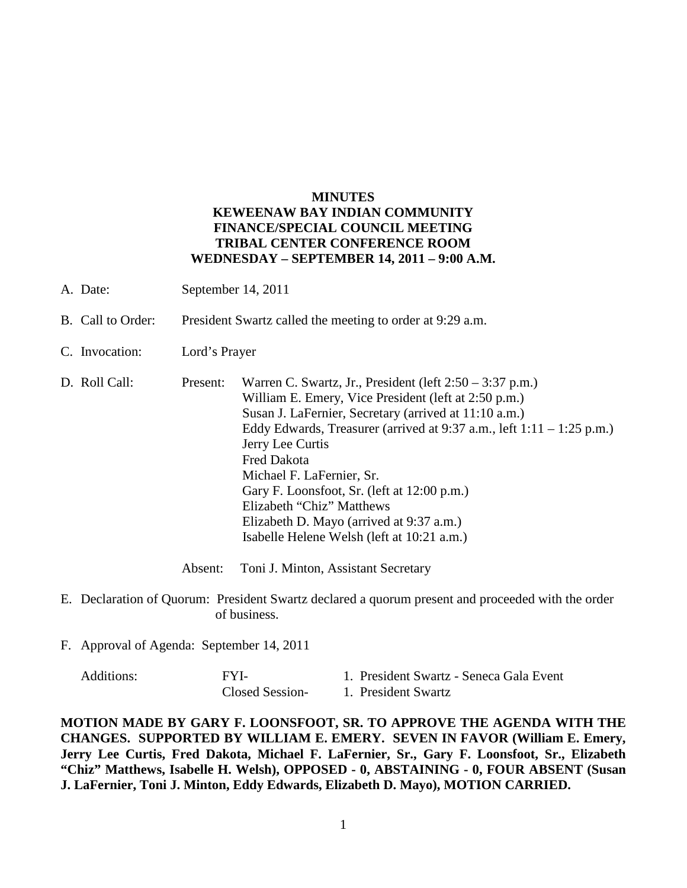## **MINUTES KEWEENAW BAY INDIAN COMMUNITY FINANCE/SPECIAL COUNCIL MEETING TRIBAL CENTER CONFERENCE ROOM WEDNESDAY – SEPTEMBER 14, 2011 – 9:00 A.M.**

- A. Date: September 14, 2011
- B. Call to Order: President Swartz called the meeting to order at 9:29 a.m.
- C. Invocation: Lord's Prayer
- D. Roll Call: Present: Warren C. Swartz, Jr., President (left 2:50 3:37 p.m.) William E. Emery, Vice President (left at 2:50 p.m.) Susan J. LaFernier, Secretary (arrived at 11:10 a.m.) Eddy Edwards, Treasurer (arrived at  $9:37$  a.m., left  $1:11 - 1:25$  p.m.) Jerry Lee Curtis Fred Dakota Michael F. LaFernier, Sr. Gary F. Loonsfoot, Sr. (left at 12:00 p.m.) Elizabeth "Chiz" Matthews Elizabeth D. Mayo (arrived at 9:37 a.m.) Isabelle Helene Welsh (left at 10:21 a.m.)

Absent: Toni J. Minton, Assistant Secretary

- E. Declaration of Quorum: President Swartz declared a quorum present and proceeded with the order of business.
- F. Approval of Agenda: September 14, 2011

| Additions: | FYI-            | 1. President Swartz - Seneca Gala Event |
|------------|-----------------|-----------------------------------------|
|            | Closed Session- | 1. President Swartz                     |

**MOTION MADE BY GARY F. LOONSFOOT, SR. TO APPROVE THE AGENDA WITH THE CHANGES. SUPPORTED BY WILLIAM E. EMERY. SEVEN IN FAVOR (William E. Emery, Jerry Lee Curtis, Fred Dakota, Michael F. LaFernier, Sr., Gary F. Loonsfoot, Sr., Elizabeth "Chiz" Matthews, Isabelle H. Welsh), OPPOSED - 0, ABSTAINING - 0, FOUR ABSENT (Susan J. LaFernier, Toni J. Minton, Eddy Edwards, Elizabeth D. Mayo), MOTION CARRIED.**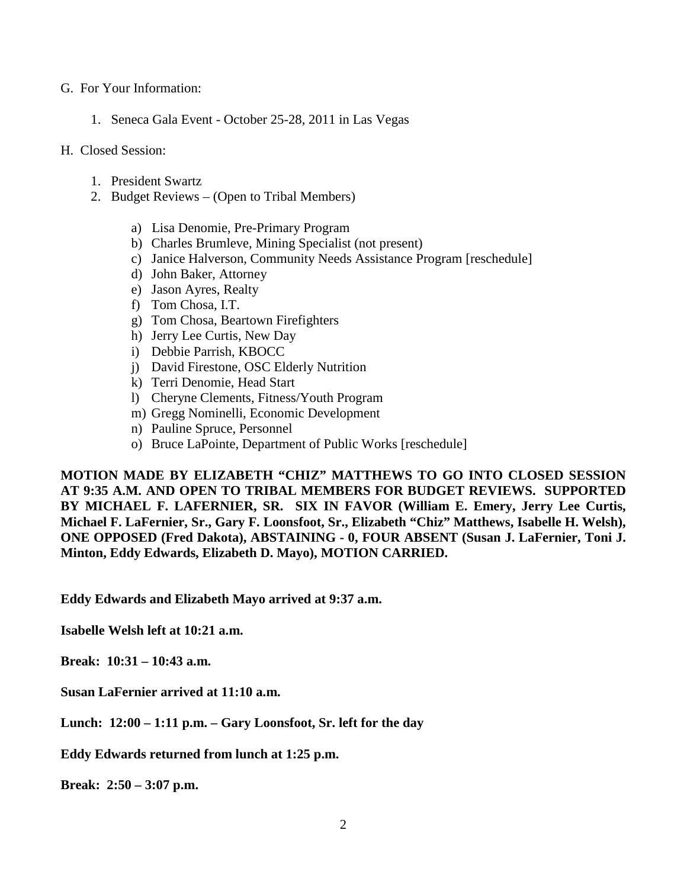## G. For Your Information:

1. Seneca Gala Event - October 25-28, 2011 in Las Vegas

## H. Closed Session:

- 1. President Swartz
- 2. Budget Reviews (Open to Tribal Members)
	- a) Lisa Denomie, Pre-Primary Program
	- b) Charles Brumleve, Mining Specialist (not present)
	- c) Janice Halverson, Community Needs Assistance Program [reschedule]
	- d) John Baker, Attorney
	- e) Jason Ayres, Realty
	- f) Tom Chosa, I.T.
	- g) Tom Chosa, Beartown Firefighters
	- h) Jerry Lee Curtis, New Day
	- i) Debbie Parrish, KBOCC
	- j) David Firestone, OSC Elderly Nutrition
	- k) Terri Denomie, Head Start
	- l) Cheryne Clements, Fitness/Youth Program
	- m) Gregg Nominelli, Economic Development
	- n) Pauline Spruce, Personnel
	- o) Bruce LaPointe, Department of Public Works [reschedule]

**MOTION MADE BY ELIZABETH "CHIZ" MATTHEWS TO GO INTO CLOSED SESSION AT 9:35 A.M. AND OPEN TO TRIBAL MEMBERS FOR BUDGET REVIEWS. SUPPORTED BY MICHAEL F. LAFERNIER, SR. SIX IN FAVOR (William E. Emery, Jerry Lee Curtis, Michael F. LaFernier, Sr., Gary F. Loonsfoot, Sr., Elizabeth "Chiz" Matthews, Isabelle H. Welsh), ONE OPPOSED (Fred Dakota), ABSTAINING - 0, FOUR ABSENT (Susan J. LaFernier, Toni J. Minton, Eddy Edwards, Elizabeth D. Mayo), MOTION CARRIED.**

**Eddy Edwards and Elizabeth Mayo arrived at 9:37 a.m.** 

**Isabelle Welsh left at 10:21 a.m.** 

**Break: 10:31 – 10:43 a.m.** 

**Susan LaFernier arrived at 11:10 a.m.** 

**Lunch: 12:00 – 1:11 p.m. – Gary Loonsfoot, Sr. left for the day** 

**Eddy Edwards returned from lunch at 1:25 p.m.**

**Break: 2:50 – 3:07 p.m.**